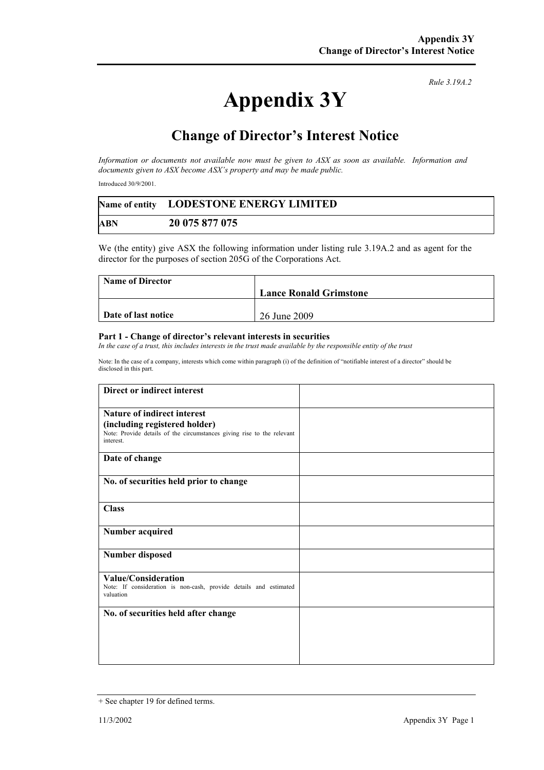## **Appendix 3Y**

*Rule 3.19A.2*

## **Change of Director's Interest Notice**

*Information or documents not available now must be given to ASX as soon as available. Information and documents given to ASX become ASX's property and may be made public.* 

Introduced 30/9/2001.

|            | Name of entity LODESTONE ENERGY LIMITED |
|------------|-----------------------------------------|
| <b>ABN</b> | 20 075 877 075                          |

We (the entity) give ASX the following information under listing rule 3.19A.2 and as agent for the director for the purposes of section 205G of the Corporations Act.

| <b>Name of Director</b> |                               |
|-------------------------|-------------------------------|
|                         | <b>Lance Ronald Grimstone</b> |
|                         |                               |
| Date of last notice     | 26 June 2009                  |

## **Part 1 - Change of director's relevant interests in securities**

In the case of a trust, this includes interests in the trust made available by the responsible entity of the trust

Note: In the case of a company, interests which come within paragraph (i) of the definition of "notifiable interest of a director" should be disclosed in this part.

| Direct or indirect interest                                                                                          |  |
|----------------------------------------------------------------------------------------------------------------------|--|
| <b>Nature of indirect interest</b>                                                                                   |  |
| (including registered holder)<br>Note: Provide details of the circumstances giving rise to the relevant<br>interest. |  |
| Date of change                                                                                                       |  |
| No. of securities held prior to change                                                                               |  |
| <b>Class</b>                                                                                                         |  |
| <b>Number acquired</b>                                                                                               |  |
| <b>Number disposed</b>                                                                                               |  |
| Value/Consideration<br>Note: If consideration is non-cash, provide details and estimated<br>valuation                |  |
| No. of securities held after change                                                                                  |  |
|                                                                                                                      |  |
|                                                                                                                      |  |
|                                                                                                                      |  |

<sup>+</sup> See chapter 19 for defined terms.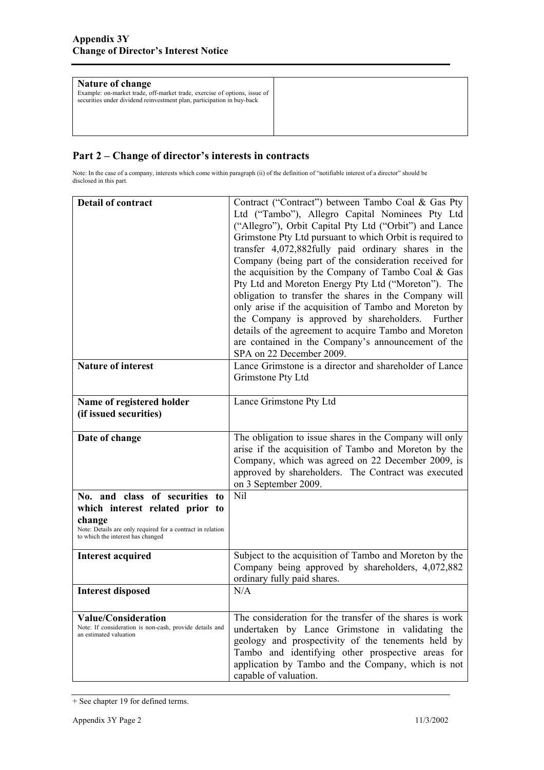| Nature of change<br>Example: on-market trade, off-market trade, exercise of options, issue of<br>securities under dividend reinvestment plan, participation in buy-back |  |
|-------------------------------------------------------------------------------------------------------------------------------------------------------------------------|--|
|                                                                                                                                                                         |  |

## **Part 2 – Change of director's interests in contracts**

Note: In the case of a company, interests which come within paragraph (ii) of the definition of "notifiable interest of a director" should be disclosed in this part.

| <b>Detail of contract</b>                                                                                                                                                      | Contract ("Contract") between Tambo Coal & Gas Pty<br>Ltd ("Tambo"), Allegro Capital Nominees Pty Ltd<br>("Allegro"), Orbit Capital Pty Ltd ("Orbit") and Lance<br>Grimstone Pty Ltd pursuant to which Orbit is required to<br>transfer 4,072,882fully paid ordinary shares in the<br>Company (being part of the consideration received for<br>the acquisition by the Company of Tambo Coal $& Gas$<br>Pty Ltd and Moreton Energy Pty Ltd ("Moreton"). The<br>obligation to transfer the shares in the Company will<br>only arise if the acquisition of Tambo and Moreton by<br>the Company is approved by shareholders. Further<br>details of the agreement to acquire Tambo and Moreton<br>are contained in the Company's announcement of the<br>SPA on 22 December 2009. |
|--------------------------------------------------------------------------------------------------------------------------------------------------------------------------------|-----------------------------------------------------------------------------------------------------------------------------------------------------------------------------------------------------------------------------------------------------------------------------------------------------------------------------------------------------------------------------------------------------------------------------------------------------------------------------------------------------------------------------------------------------------------------------------------------------------------------------------------------------------------------------------------------------------------------------------------------------------------------------|
| <b>Nature of interest</b>                                                                                                                                                      | Lance Grimstone is a director and shareholder of Lance<br>Grimstone Pty Ltd                                                                                                                                                                                                                                                                                                                                                                                                                                                                                                                                                                                                                                                                                                 |
| Name of registered holder<br>(if issued securities)                                                                                                                            | Lance Grimstone Pty Ltd                                                                                                                                                                                                                                                                                                                                                                                                                                                                                                                                                                                                                                                                                                                                                     |
| Date of change                                                                                                                                                                 | The obligation to issue shares in the Company will only<br>arise if the acquisition of Tambo and Moreton by the<br>Company, which was agreed on 22 December 2009, is<br>approved by shareholders. The Contract was executed<br>on 3 September 2009.                                                                                                                                                                                                                                                                                                                                                                                                                                                                                                                         |
| No. and class of securities to<br>which interest related prior to<br>change<br>Note: Details are only required for a contract in relation<br>to which the interest has changed | Nil                                                                                                                                                                                                                                                                                                                                                                                                                                                                                                                                                                                                                                                                                                                                                                         |
| <b>Interest acquired</b>                                                                                                                                                       | Subject to the acquisition of Tambo and Moreton by the<br>Company being approved by shareholders, 4,072,882<br>ordinary fully paid shares.                                                                                                                                                                                                                                                                                                                                                                                                                                                                                                                                                                                                                                  |
| <b>Interest disposed</b>                                                                                                                                                       | N/A                                                                                                                                                                                                                                                                                                                                                                                                                                                                                                                                                                                                                                                                                                                                                                         |
| <b>Value/Consideration</b><br>Note: If consideration is non-cash, provide details and<br>an estimated valuation                                                                | The consideration for the transfer of the shares is work<br>undertaken by Lance Grimstone in validating the<br>geology and prospectivity of the tenements held by<br>Tambo and identifying other prospective areas for<br>application by Tambo and the Company, which is not<br>capable of valuation.                                                                                                                                                                                                                                                                                                                                                                                                                                                                       |

<sup>+</sup> See chapter 19 for defined terms.